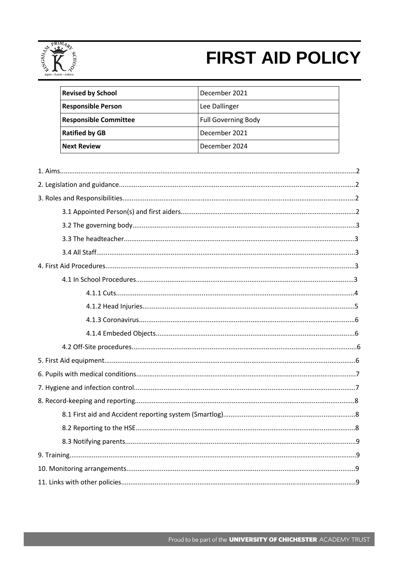

# **FIRST AID POLICY**

| <b>Revised by School</b>     | December 2021              |
|------------------------------|----------------------------|
| <b>Responsible Person</b>    | Lee Dallinger              |
| <b>Responsible Committee</b> | <b>Full Governing Body</b> |
| <b>Ratified by GB</b>        | December 2021              |
| <b>Next Review</b>           | December 2024              |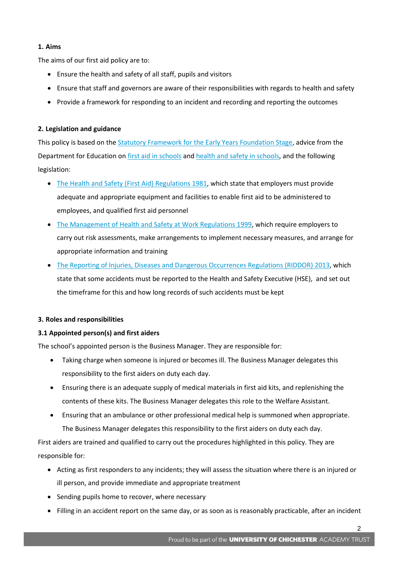# **1. Aims**

The aims of our first aid policy are to:

- Ensure the health and safety of all staff, pupils and visitors
- Ensure that staff and governors are aware of their responsibilities with regards to health and safety
- Provide a framework for responding to an incident and recording and reporting the outcomes

# **2. Legislation and guidance**

This policy is based on the **Statutory Framework for the Early Years Foundation Stage**, advice from the Department for Education on [first aid in schools](https://www.gov.uk/government/publications/first-aid-in-schools) an[d health and safety in schools,](https://www.gov.uk/government/publications/health-and-safety-advice-for-schools) and the following legislation:

- [The Health and Safety \(First Aid\) Regulations 1981,](http://www.legislation.gov.uk/uksi/1981/917/regulation/3/made) which state that employers must provide adequate and appropriate equipment and facilities to enable first aid to be administered to employees, and qualified first aid personnel
- [The Management of Health and Safety at Work Regulations 1999,](http://www.legislation.gov.uk/uksi/1999/3242/contents/made) which require employers to carry out risk assessments, make arrangements to implement necessary measures, and arrange for appropriate information and training
- [The Reporting of Injuries, Diseases and Dangerous Occurrences Regulations](http://www.legislation.gov.uk/uksi/2013/1471/schedule/1/paragraph/1/made) (RIDDOR) 2013, which state that some accidents must be reported to the Health and Safety Executive (HSE), and set out the timeframe for this and how long records of such accidents must be kept

# **3. Roles and responsibilities**

# **3.1 Appointed person(s) and first aiders**

The school's appointed person is the Business Manager. They are responsible for:

- Taking charge when someone is injured or becomes ill. The Business Manager delegates this responsibility to the first aiders on duty each day.
- Ensuring there is an adequate supply of medical materials in first aid kits, and replenishing the contents of these kits. The Business Manager delegates this role to the Welfare Assistant.
- Ensuring that an ambulance or other professional medical help is summoned when appropriate. The Business Manager delegates this responsibility to the first aiders on duty each day.

First aiders are trained and qualified to carry out the procedures highlighted in this policy. They are responsible for:

- Acting as first responders to any incidents; they will assess the situation where there is an injured or ill person, and provide immediate and appropriate treatment
- Sending pupils home to recover, where necessary
- Filling in an accident report on the same day, or as soon as is reasonably practicable, after an incident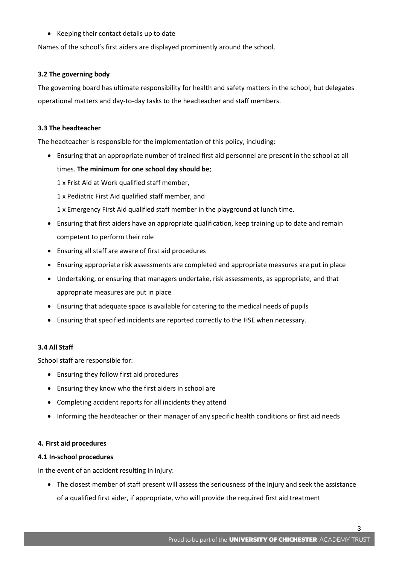Keeping their contact details up to date

Names of the school's first aiders are displayed prominently around the school.

## **3.2 The governing body**

The governing board has ultimate responsibility for health and safety matters in the school, but delegates operational matters and day-to-day tasks to the headteacher and staff members.

## **3.3 The headteacher**

The headteacher is responsible for the implementation of this policy, including:

- Ensuring that an appropriate number of trained first aid personnel are present in the school at all times. **The minimum for one school day should be**;
	- 1 x Frist Aid at Work qualified staff member,
	- 1 x Pediatric First Aid qualified staff member, and
	- 1 x Emergency First Aid qualified staff member in the playground at lunch time.
- Ensuring that first aiders have an appropriate qualification, keep training up to date and remain competent to perform their role
- Ensuring all staff are aware of first aid procedures
- Ensuring appropriate risk assessments are completed and appropriate measures are put in place
- Undertaking, or ensuring that managers undertake, risk assessments, as appropriate, and that appropriate measures are put in place
- Ensuring that adequate space is available for catering to the medical needs of pupils
- Ensuring that specified incidents are reported correctly to the HSE when necessary.

## **3.4 All Staff**

School staff are responsible for:

- Ensuring they follow first aid procedures
- Ensuring they know who the first aiders in school are
- Completing accident reports for all incidents they attend
- Informing the headteacher or their manager of any specific health conditions or first aid needs

## **4. First aid procedures**

## **4.1 In-school procedures**

In the event of an accident resulting in injury:

 The closest member of staff present will assess the seriousness of the injury and seek the assistance of a qualified first aider, if appropriate, who will provide the required first aid treatment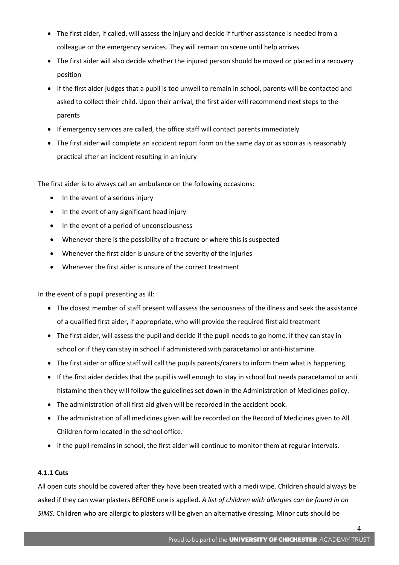- The first aider, if called, will assess the injury and decide if further assistance is needed from a colleague or the emergency services. They will remain on scene until help arrives
- The first aider will also decide whether the injured person should be moved or placed in a recovery position
- If the first aider judges that a pupil is too unwell to remain in school, parents will be contacted and asked to collect their child. Upon their arrival, the first aider will recommend next steps to the parents
- If emergency services are called, the office staff will contact parents immediately
- The first aider will complete an accident report form on the same day or as soon as is reasonably practical after an incident resulting in an injury

The first aider is to always call an ambulance on the following occasions:

- In the event of a serious injury
- In the event of any significant head injury
- In the event of a period of unconsciousness
- Whenever there is the possibility of a fracture or where this is suspected
- Whenever the first aider is unsure of the severity of the injuries
- Whenever the first aider is unsure of the correct treatment

In the event of a pupil presenting as ill:

- The closest member of staff present will assess the seriousness of the illness and seek the assistance of a qualified first aider, if appropriate, who will provide the required first aid treatment
- The first aider, will assess the pupil and decide if the pupil needs to go home, if they can stay in school or if they can stay in school if administered with paracetamol or anti-histamine.
- The first aider or office staff will call the pupils parents/carers to inform them what is happening.
- If the first aider decides that the pupil is well enough to stay in school but needs paracetamol or anti histamine then they will follow the guidelines set down in the Administration of Medicines policy.
- The administration of all first aid given will be recorded in the accident book.
- The administration of all medicines given will be recorded on the Record of Medicines given to All Children form located in the school office.
- If the pupil remains in school, the first aider will continue to monitor them at regular intervals.

# **4.1.1 Cuts**

All open cuts should be covered after they have been treated with a medi wipe. Children should always be asked if they can wear plasters BEFORE one is applied. *A list of children with allergies can be found in on SIMS.* Children who are allergic to plasters will be given an alternative dressing. Minor cuts should be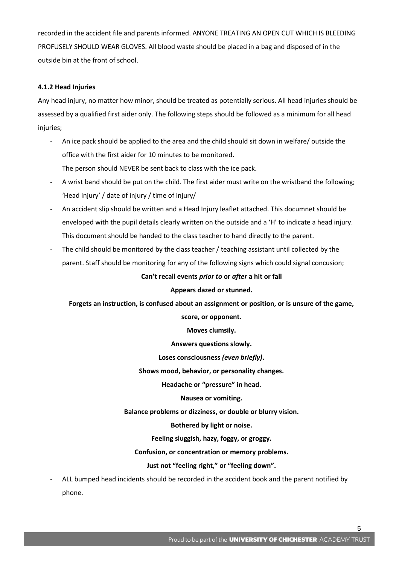recorded in the accident file and parents informed. ANYONE TREATING AN OPEN CUT WHICH IS BLEEDING PROFUSELY SHOULD WEAR GLOVES. All blood waste should be placed in a bag and disposed of in the outside bin at the front of school.

## **4.1.2 Head Injuries**

Any head injury, no matter how minor, should be treated as potentially serious. All head injuries should be assessed by a qualified first aider only. The following steps should be followed as a minimum for all head injuries;

- An ice pack should be applied to the area and the child should sit down in welfare/ outside the office with the first aider for 10 minutes to be monitored. The person should NEVER be sent back to class with the ice pack.
- A wrist band should be put on the child. The first aider must write on the wristband the following; 'Head injury' / date of injury / time of injury/
- An accident slip should be written and a Head Injury leaflet attached. This documnet should be enveloped with the pupil details clearly written on the outside and a 'H' to indicate a head injury. This document should be handed to the class teacher to hand directly to the parent.
- The child should be monitored by the class teacher / teaching assistant until collected by the parent. Staff should be monitoring for any of the following signs which could signal concusion;

## **Can't recall events** *prior to* **or** *after* **a hit or fall**

## **Appears dazed or stunned.**

## **Forgets an instruction, is confused about an assignment or position, or is unsure of the game,**

**score, or opponent.**

**Moves clumsily.**

**Answers questions slowly.**

**Loses consciousness** *(even briefly)***.**

**Shows mood, behavior, or personality changes.**

**Headache or "pressure" in head.**

**Nausea or vomiting.**

**Balance problems or dizziness, or double or blurry vision.**

**Bothered by light or noise.**

**Feeling sluggish, hazy, foggy, or groggy.**

**Confusion, or concentration or memory problems.**

## **Just not "feeling right," or "feeling down".**

- ALL bumped head incidents should be recorded in the accident book and the parent notified by phone.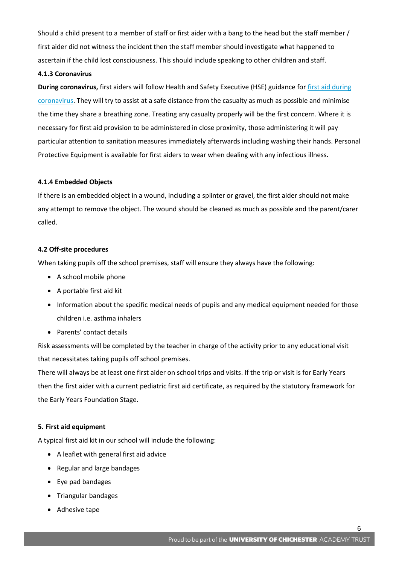Should a child present to a member of staff or first aider with a bang to the head but the staff member / first aider did not witness the incident then the staff member should investigate what happened to ascertain if the child lost consciousness. This should include speaking to other children and staff.

#### **4.1.3 Coronavirus**

**During coronavirus,** first aiders will follow Health and Safety Executive (HSE) guidance fo[r first aid during](https://www.hse.gov.uk/coronavirus/first-aid-and-medicals/first-aid-certificate-coronavirus.htm)  [coronavirus.](https://www.hse.gov.uk/coronavirus/first-aid-and-medicals/first-aid-certificate-coronavirus.htm) They will try to assist at a safe distance from the casualty as much as possible and minimise the time they share a breathing zone. Treating any casualty properly will be the first concern. Where it is necessary for first aid provision to be administered in close proximity, those administering it will pay particular attention to sanitation measures immediately afterwards including washing their hands. Personal Protective Equipment is available for first aiders to wear when dealing with any infectious illness.

#### **4.1.4 Embedded Objects**

If there is an embedded object in a wound, including a splinter or gravel, the first aider should not make any attempt to remove the object. The wound should be cleaned as much as possible and the parent/carer called.

#### **4.2 Off-site procedures**

When taking pupils off the school premises, staff will ensure they always have the following:

- A school mobile phone
- A portable first aid kit
- Information about the specific medical needs of pupils and any medical equipment needed for those children i.e. asthma inhalers
- Parents' contact details

Risk assessments will be completed by the teacher in charge of the activity prior to any educational visit that necessitates taking pupils off school premises.

There will always be at least one first aider on school trips and visits. If the trip or visit is for Early Years then the first aider with a current pediatric first aid certificate, as required by the statutory framework for the Early Years Foundation Stage.

## **5. First aid equipment**

A typical first aid kit in our school will include the following:

- A leaflet with general first aid advice
- Regular and large bandages
- Eye pad bandages
- Triangular bandages
- Adhesive tape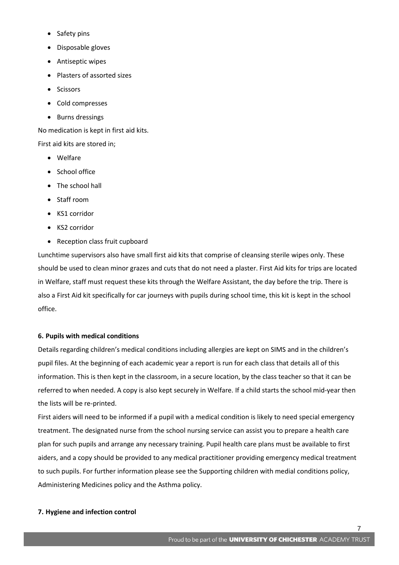- Safety pins
- Disposable gloves
- Antiseptic wipes
- Plasters of assorted sizes
- Scissors
- Cold compresses
- Burns dressings

No medication is kept in first aid kits.

First aid kits are stored in;

- Welfare
- School office
- The school hall
- Staff room
- KS1 corridor
- KS2 corridor
- Reception class fruit cupboard

Lunchtime supervisors also have small first aid kits that comprise of cleansing sterile wipes only. These should be used to clean minor grazes and cuts that do not need a plaster. First Aid kits for trips are located in Welfare, staff must request these kits through the Welfare Assistant, the day before the trip. There is also a First Aid kit specifically for car journeys with pupils during school time, this kit is kept in the school office.

## **6. Pupils with medical conditions**

Details regarding children's medical conditions including allergies are kept on SIMS and in the children's pupil files. At the beginning of each academic year a report is run for each class that details all of this information. This is then kept in the classroom, in a secure location, by the class teacher so that it can be referred to when needed. A copy is also kept securely in Welfare. If a child starts the school mid-year then the lists will be re-printed.

First aiders will need to be informed if a pupil with a medical condition is likely to need special emergency treatment. The designated nurse from the school nursing service can assist you to prepare a health care plan for such pupils and arrange any necessary training. Pupil health care plans must be available to first aiders, and a copy should be provided to any medical practitioner providing emergency medical treatment to such pupils. For further information please see the Supporting children with medial conditions policy, Administering Medicines policy and the Asthma policy.

## **7. Hygiene and infection control**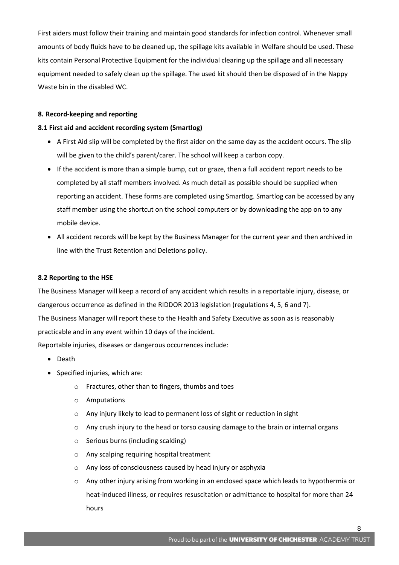First aiders must follow their training and maintain good standards for infection control. Whenever small amounts of body fluids have to be cleaned up, the spillage kits available in Welfare should be used. These kits contain Personal Protective Equipment for the individual clearing up the spillage and all necessary equipment needed to safely clean up the spillage. The used kit should then be disposed of in the Nappy Waste bin in the disabled WC.

#### **8. Record-keeping and reporting**

#### **8.1 First aid and accident recording system (Smartlog)**

- A First Aid slip will be completed by the first aider on the same day as the accident occurs. The slip will be given to the child's parent/carer. The school will keep a carbon copy.
- If the accident is more than a simple bump, cut or graze, then a full accident report needs to be completed by all staff members involved. As much detail as possible should be supplied when reporting an accident. These forms are completed using Smartlog. Smartlog can be accessed by any staff member using the shortcut on the school computers or by downloading the app on to any mobile device.
- All accident records will be kept by the Business Manager for the current year and then archived in line with the Trust Retention and Deletions policy.

#### **8.2 Reporting to the HSE**

The Business Manager will keep a record of any accident which results in a reportable injury, disease, or dangerous occurrence as defined in the RIDDOR 2013 legislation (regulations 4, 5, 6 and 7). The Business Manager will report these to the Health and Safety Executive as soon as is reasonably practicable and in any event within 10 days of the incident.

Reportable injuries, diseases or dangerous occurrences include:

- Death
- Specified injuries, which are:
	- o Fractures, other than to fingers, thumbs and toes
	- o Amputations
	- o Any injury likely to lead to permanent loss of sight or reduction in sight
	- $\circ$  Any crush injury to the head or torso causing damage to the brain or internal organs
	- o Serious burns (including scalding)
	- o Any scalping requiring hospital treatment
	- o Any loss of consciousness caused by head injury or asphyxia
	- o Any other injury arising from working in an enclosed space which leads to hypothermia or heat-induced illness, or requires resuscitation or admittance to hospital for more than 24 hours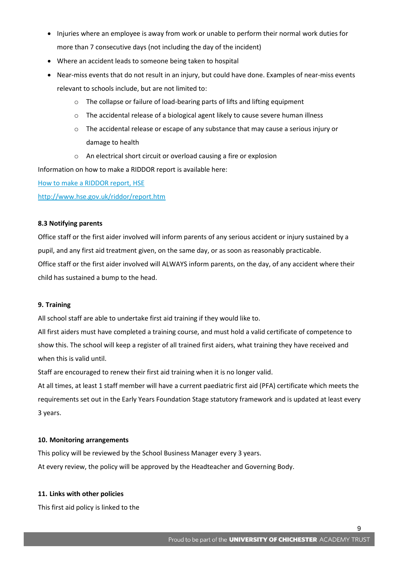- Injuries where an employee is away from work or unable to perform their normal work duties for more than 7 consecutive days (not including the day of the incident)
- Where an accident leads to someone being taken to hospital
- Near-miss events that do not result in an injury, but could have done. Examples of near-miss events relevant to schools include, but are not limited to:
	- o The collapse or failure of load-bearing parts of lifts and lifting equipment
	- o The accidental release of a biological agent likely to cause severe human illness
	- $\circ$  The accidental release or escape of any substance that may cause a serious injury or damage to health
	- o An electrical short circuit or overload causing a fire or explosion

Information on how to make a RIDDOR report is available here:

[How to make a RIDDOR report, HSE](http://www.hse.gov.uk/riddor/report.htm)

<http://www.hse.gov.uk/riddor/report.htm>

## **8.3 Notifying parents**

Office staff or the first aider involved will inform parents of any serious accident or injury sustained by a pupil, and any first aid treatment given, on the same day, or as soon as reasonably practicable. Office staff or the first aider involved will ALWAYS inform parents, on the day, of any accident where their child has sustained a bump to the head.

## **9. Training**

All school staff are able to undertake first aid training if they would like to.

All first aiders must have completed a training course, and must hold a valid certificate of competence to show this. The school will keep a register of all trained first aiders, what training they have received and when this is valid until.

Staff are encouraged to renew their first aid training when it is no longer valid.

At all times, at least 1 staff member will have a current paediatric first aid (PFA) certificate which meets the requirements set out in the Early Years Foundation Stage statutory framework and is updated at least every 3 years.

## **10. Monitoring arrangements**

This policy will be reviewed by the School Business Manager every 3 years. At every review, the policy will be approved by the Headteacher and Governing Body.

## **11. Links with other policies**

This first aid policy is linked to the